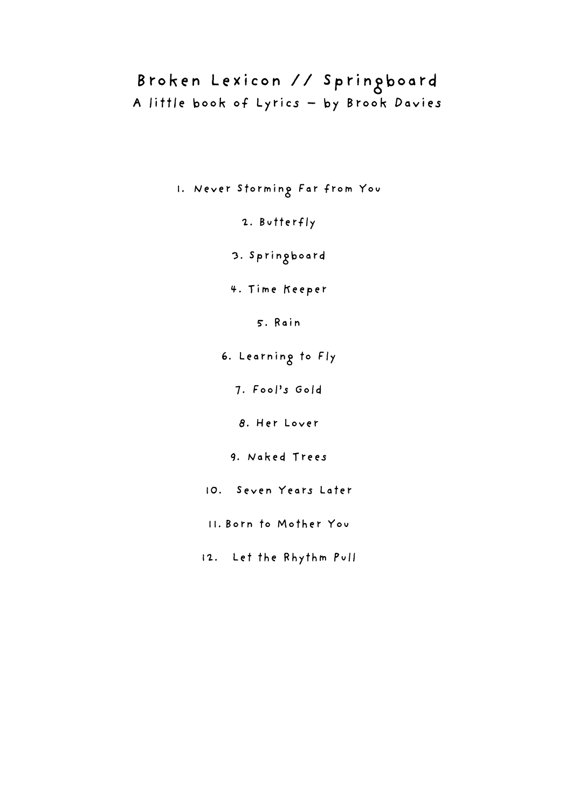# Broken Lexicon // Springboard A little book of Lyrics – by Brook Davies

1. Never Storming Far from You

2. Butterfly

3. Springboard

4. Time Keeper

5. Rain

6. Learning to Fly

7. Fool's Gold

8. Her Lover

9. Naked Trees

10. Seven Years Later

11. Born to Mother You

12. Let the Rhythm Pull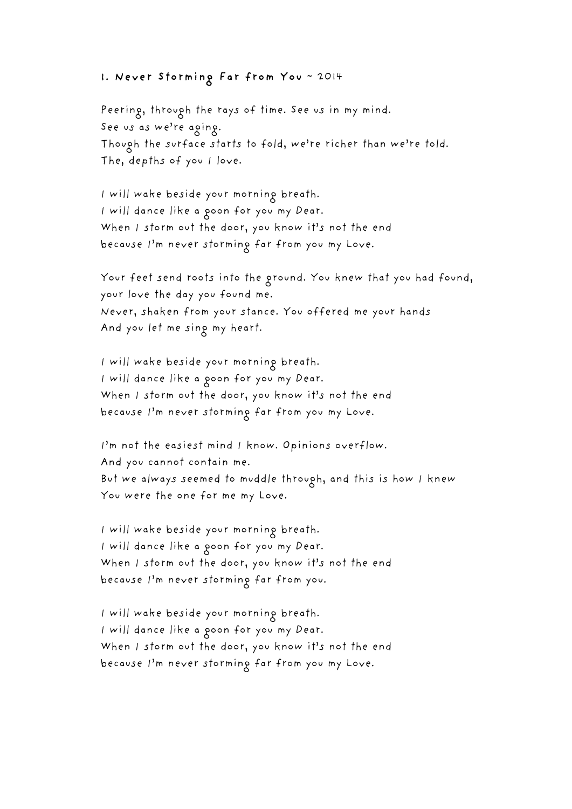## 1. Never Storming Far from You ~ 2014

Peering, through the rays of time. See us in my mind. See us as we're aging. Though the surface starts to fold, we're richer than we're told. The, depths of you I love.

I will wake beside your morning breath. I will dance like a goon for you my Dear. When I storm out the door, you know it's not the end because I'm never storming far from you my Love.

Your feet send roots into the ground. You knew that you had found, your love the day you found me. Never, shaken from your stance. You offered me your hands And you let me sing my heart.

I will wake beside your morning breath. I will dance like a goon for you my Dear. When I storm out the door, you know it's not the end because I'm never storming far from you my Love.

I'm not the easiest mind I know. Opinions overflow. And you cannot contain me. But we always seemed to muddle through, and this is how I knew You were the one for me my Love.

I will wake beside your morning breath. I will dance like a goon for you my Dear. When I storm out the door, you know it's not the end because I'm never storming far from you.

I will wake beside your morning breath. I will dance like a goon for you my Dear. When I storm out the door, you know it's not the end because I'm never storming far from you my Love.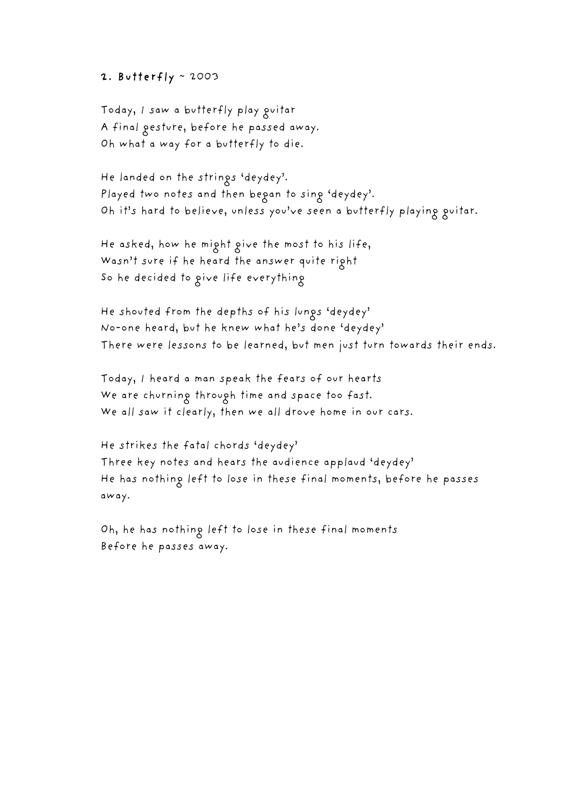### 2. Butterfly  $\sim$  2003

Today, I saw a butterfly play guitar A final gesture, before he passed away. Oh what a way for a butterfly to die.

He landed on the strings 'deydey'. Played two notes and then began to sing 'deydey'. Oh it's hard to believe, unless you've seen a butterfly playing guitar.

He asked, how he might give the most to his life, Wasn't sure if he heard the answer quite right So he decided to give life everything

He shouted from the depths of his lungs 'deydey' No-one heard, but he knew what he's done 'deydey' There were lessons to be learned, but men just turn towards their ends.

Today, I heard a man speak the fears of our hearts We are churning through time and space too fast. We all saw it clearly, then we all drove home in our cars.

He strikes the fatal chords 'deydey' Three key notes and hears the audience applaud 'deydey' He has nothing left to lose in these final moments, before he passes away.

Oh, he has nothing left to lose in these final moments Before he passes away.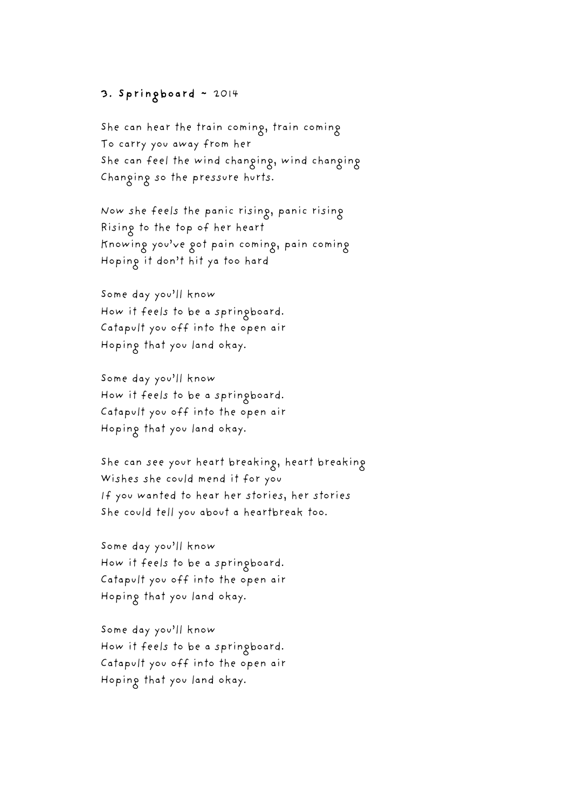# 3. Springboard ~ 2014

She can hear the train coming, train coming To carry you away from her She can feel the wind changing, wind changing Changing so the pressure hurts.

Now she feels the panic rising, panic rising Rising to the top of her heart Knowing you've got pain coming, pain coming Hoping it don't hit ya too hard

Some day you'll know How it feels to be a springboard. Catapult you off into the open air Hoping that you land okay.

Some day you'll know How it feels to be a springboard. Catapult you off into the open air Hoping that you land okay.

She can see your heart breaking, heart breaking Wishes she could mend it for you If you wanted to hear her stories, her stories She could tell you about a heartbreak too.

Some day you'll know How it feels to be a springboard. Catapult you off into the open air Hoping that you land okay.

Some day you'll know How it feels to be a springboard. Catapult you off into the open air Hoping that you land okay.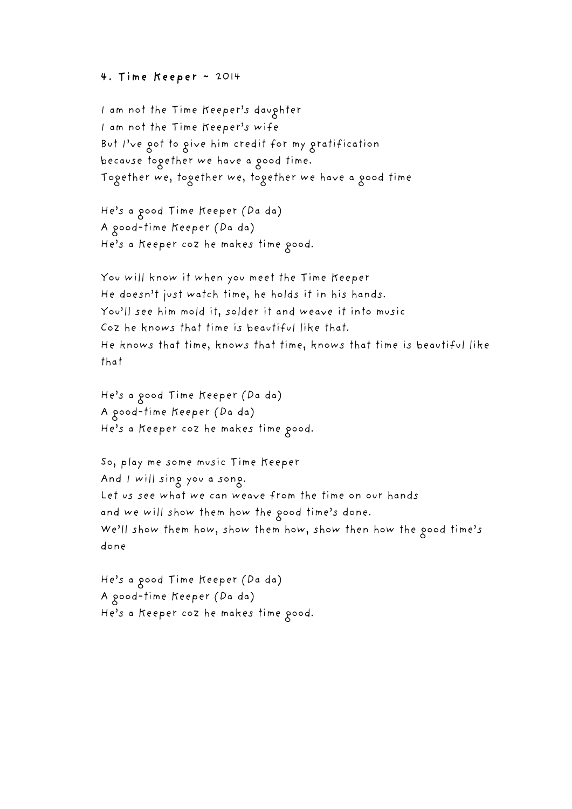#### 4. Time Keeper ~ 2014

I am not the Time Keeper's daughter I am not the Time Keeper's wife But I've got to give him credit for my gratification because together we have a good time. Together we, together we, together we have a good time

He's a good Time Keeper (Da da) A good-time Keeper (Da da) He's a Keeper coz he makes time good.

You will know it when you meet the Time Keeper He doesn't just watch time, he holds it in his hands. You'll see him mold it, solder it and weave it into music Coz he knows that time is beautiful like that. He knows that time, knows that time, knows that time is beautiful like that

He's a good Time Keeper (Da da) A good-time Keeper (Da da) He's a Keeper coz he makes time good.

So, play me some music Time Keeper And I will sing you a song. Let us see what we can weave from the time on our hands and we will show them how the good time's done. We'll show them how, show them how, show then how the good time's done

He's a good Time Keeper (Da da) A good-time Keeper (Da da) He's a Keeper coz he makes time good.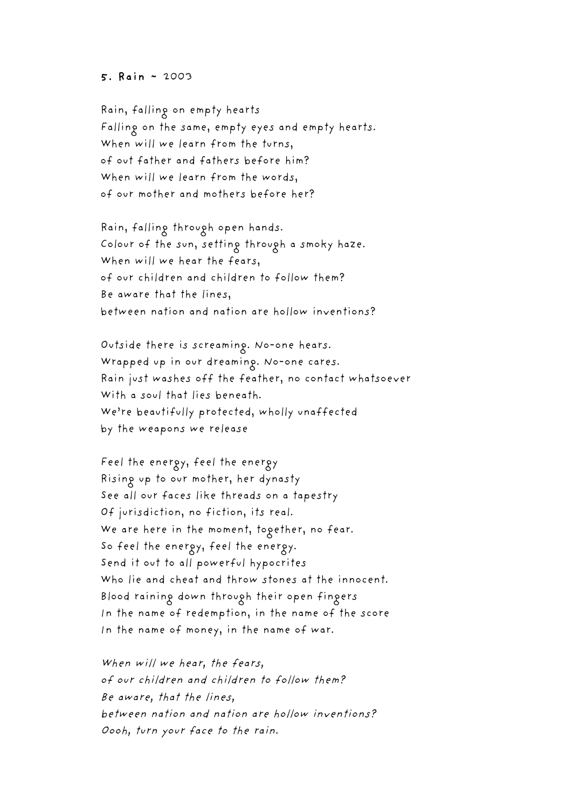#### 5. Rain ~ 2003

Rain, falling on empty hearts Falling on the same, empty eyes and empty hearts. When will we learn from the turns, of out father and fathers before him? When will we learn from the words, of our mother and mothers before her?

Rain, falling through open hands. Colour of the sun, setting through a smoky haze. When will we hear the fears, of our children and children to follow them? Be aware that the lines, between nation and nation are hollow inventions?

Outside there is screaming. No-one hears. Wrapped up in our dreaming. No-one cares. Rain just washes off the feather, no contact whatsoever With a soul that lies beneath. We're beautifully protected, wholly unaffected by the weapons we release

Feel the energy, feel the energy Rising up to our mother, her dynasty See all our faces like threads on a tapestry Of jurisdiction, no fiction, its real. We are here in the moment, together, no fear. So feel the energy, feel the energy. Send it out to all powerful hypocrites Who lie and cheat and throw stones at the innocent. Blood raining down through their open fingers In the name of redemption, in the name of the score In the name of money, in the name of war.

When will we hear, the fears, of our children and children to follow them? Be aware, that the lines, between nation and nation are hollow inventions? Oooh, turn your face to the rain.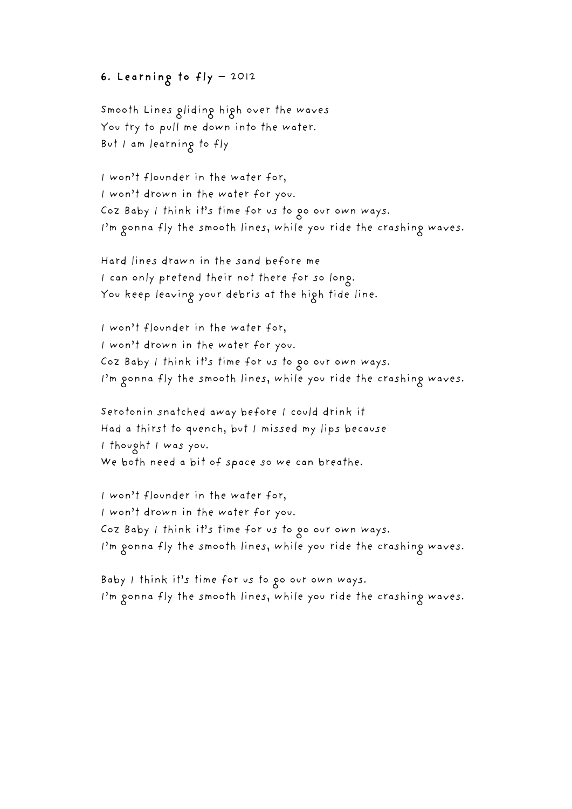# 6. Learning to fly – 2012

Smooth Lines gliding high over the waves You try to pull me down into the water. But I am learning to fly

I won't flounder in the water for, I won't drown in the water for you. Coz Baby I think it's time for us to go our own ways. I'm gonna fly the smooth lines, while you ride the crashing waves.

Hard lines drawn in the sand before me I can only pretend their not there for so long. You keep leaving your debris at the high tide line.

I won't flounder in the water for, I won't drown in the water for you. Coz Baby I think it's time for us to go our own ways. I'm gonna fly the smooth lines, while you ride the crashing waves.

Serotonin snatched away before I could drink it Had a thirst to quench, but I missed my lips because I thought I was you. We both need a bit of space so we can breathe.

I won't flounder in the water for, I won't drown in the water for you. Coz Baby I think it's time for us to go our own ways. I'm gonna fly the smooth lines, while you ride the crashing waves.

Baby I think it's time for us to go our own ways. I'm gonna fly the smooth lines, while you ride the crashing waves.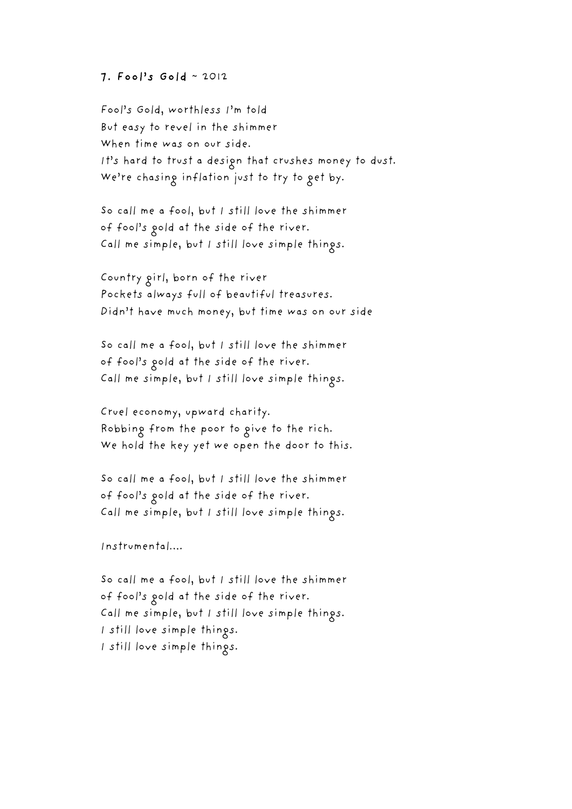### 7. Fool's Gold ~ 2012

Fool's Gold, worthless I'm told But easy to revel in the shimmer When time was on our side. It's hard to trust a design that crushes money to dust. We're chasing inflation just to try to get by.

So call me a fool, but I still love the shimmer of fool's gold at the side of the river. Call me simple, but I still love simple things.

Country girl, born of the river Pockets always full of beautiful treasures. Didn't have much money, but time was on our side

So call me a fool, but I still love the shimmer of fool's gold at the side of the river. Call me simple, but I still love simple things.

Cruel economy, upward charity. Robbing from the poor to give to the rich. We hold the key yet we open the door to this.

So call me a fool, but I still love the shimmer of fool's gold at the side of the river. Call me simple, but I still love simple things.

Instrumental….

So call me a fool, but I still love the shimmer of fool's gold at the side of the river. Call me simple, but I still love simple things. I still love simple things. I still love simple things.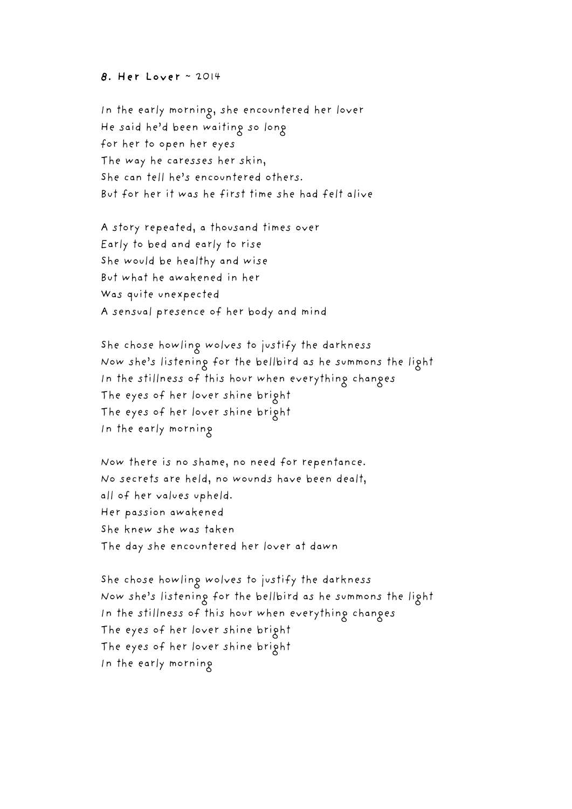#### 8. Her Lover ~ 2014

In the early morning, she encountered her lover He said he'd been waiting so long for her to open her eyes The way he caresses her skin, She can tell he's encountered others. But for her it was he first time she had felt alive

A story repeated, a thousand times over Early to bed and early to rise She would be healthy and wise But what he awakened in her Was quite unexpected A sensual presence of her body and mind

She chose howling wolves to justify the darkness Now she's listening for the bellbird as he summons the light In the stillness of this hour when everything changes The eyes of her lover shine bright The eyes of her lover shine bright In the early morning

Now there is no shame, no need for repentance. No secrets are held, no wounds have been dealt, all of her values upheld. Her passion awakened She knew she was taken The day she encountered her lover at dawn

She chose howling wolves to justify the darkness Now she's listening for the bellbird as he summons the light In the stillness of this hour when everything changes The eyes of her lover shine bright The eyes of her lover shine bright In the early morning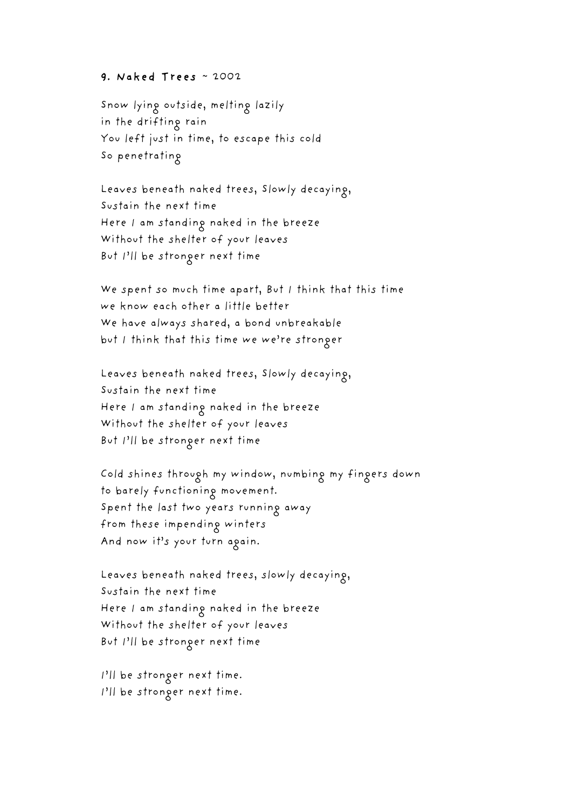#### 9. Naked Trees ~ 2002

Snow lying outside, melting lazily in the drifting rain You left just in time, to escape this cold So penetrating

Leaves beneath naked trees, Slowly decaying, Sustain the next time Here I am standing naked in the breeze Without the shelter of your leaves But I'll be stronger next time

We spent so much time apart, But I think that this time we know each other a little better We have always shared, a bond unbreakable but I think that this time we we're stronger

Leaves beneath naked trees, Slowly decaying, Sustain the next time Here I am standing naked in the breeze Without the shelter of your leaves But I'll be stronger next time

Cold shines through my window, numbing my fingers down to barely functioning movement. Spent the last two years running away from these impending winters And now it's your turn again.

Leaves beneath naked trees, slowly decaying, Sustain the next time Here I am standing naked in the breeze Without the shelter of your leaves But I'll be stronger next time

I'll be stronger next time. I'll be stronger next time.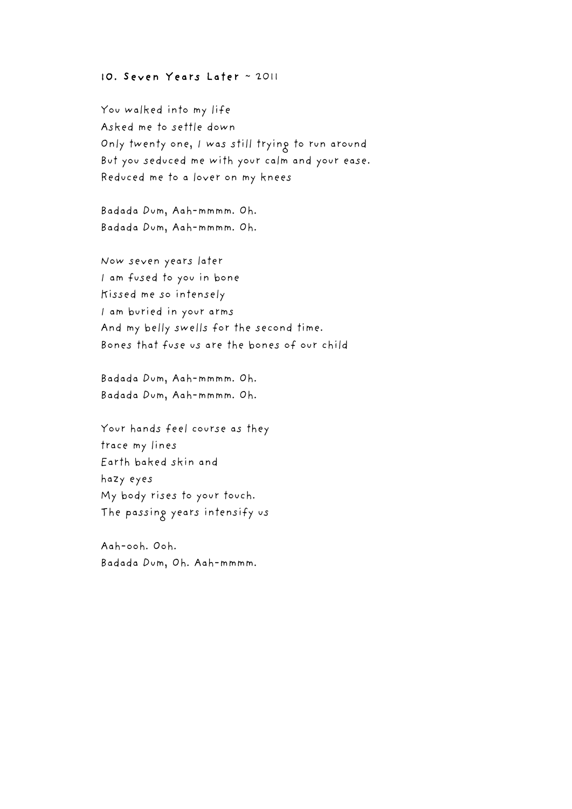### 10. Seven Years Later ~ 2011

You walked into my life Asked me to settle down Only twenty one, I was still trying to run around But you seduced me with your calm and your ease. Reduced me to a lover on my knees

Badada Dum, Aah-mmmm. Oh. Badada Dum, Aah-mmmm. Oh.

Now seven years later I am fused to you in bone Kissed me so intensely I am buried in your arms And my belly swells for the second time. Bones that fuse us are the bones of our child

Badada Dum, Aah-mmmm. Oh. Badada Dum, Aah-mmmm. Oh.

Your hands feel course as they trace my lines Earth baked skin and hazy eyes My body rises to your touch. The passing years intensify us

Aah-ooh. Ooh. Badada Dum, Oh. Aah-mmmm.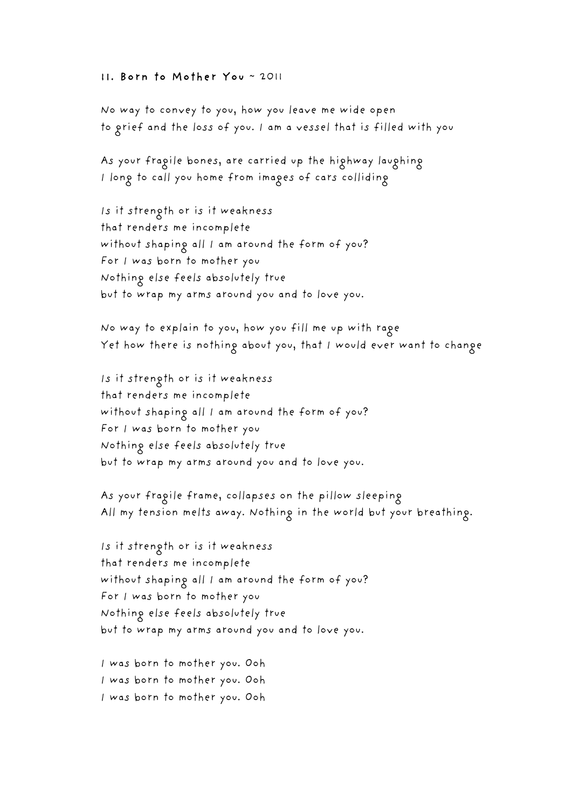#### 11. Born to Mother You ~ 2011

No way to convey to you, how you leave me wide open to grief and the loss of you. I am a vessel that is filled with you

As your fragile bones, are carried up the highway laughing I long to call you home from images of cars colliding

Is it strength or is it weakness that renders me incomplete without shaping all I am around the form of you? For I was born to mother you Nothing else feels absolutely true but to wrap my arms around you and to love you.

No way to explain to you, how you fill me up with rage Yet how there is nothing about you, that I would ever want to change

Is it strength or is it weakness that renders me incomplete without shaping all I am around the form of you? For I was born to mother you Nothing else feels absolutely true but to wrap my arms around you and to love you.

As your fragile frame, collapses on the pillow sleeping All my tension melts away. Nothing in the world but your breathing.

Is it strength or is it weakness that renders me incomplete without shaping all I am around the form of you? For I was born to mother you Nothing else feels absolutely true but to wrap my arms around you and to love you.

I was born to mother you. Ooh I was born to mother you. Ooh I was born to mother you. Ooh